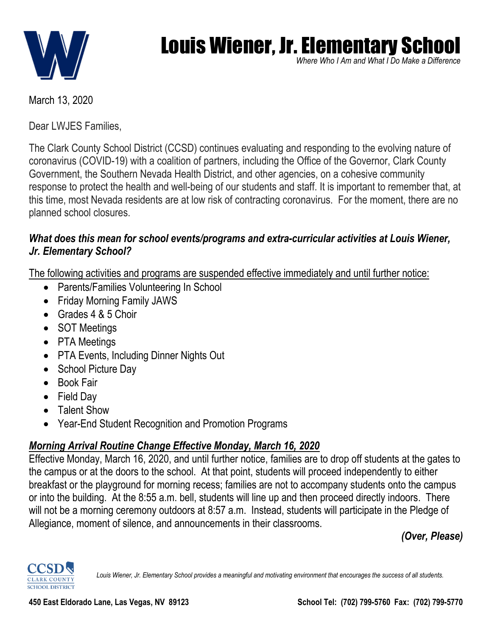

## Louis Wiener, Jr. Elementary School

Where Who I Am and What I Do Make a Difference<br>

March 13, 2020

Dear LWJES Families,

The Clark County School District (CCSD) continues evaluating and responding to the evolving nature of coronavirus (COVID-19) with a coalition of partners, including the Office of the Governor, Clark County Government, the Southern Nevada Health District, and other agencies, on a cohesive community response to protect the health and well-being of our students and staff. It is important to remember that, at this time, most Nevada residents are at low risk of contracting coronavirus. For the moment, there are no planned school closures.

## *What does this mean for school events/programs and extra-curricular activities at Louis Wiener, Jr. Elementary School?*

The following activities and programs are suspended effective immediately and until further notice:

- Parents/Families Volunteering In School
- Friday Morning Family JAWS
- Grades 4 & 5 Choir
- SOT Meetings
- PTA Meetings
- PTA Events, Including Dinner Nights Out
- School Picture Day
- Book Fair
- Field Day
- Talent Show
- Year-End Student Recognition and Promotion Programs

## *Morning Arrival Routine Change Effective Monday, March 16, 2020*

Effective Monday, March 16, 2020, and until further notice, families are to drop off students at the gates to the campus or at the doors to the school. At that point, students will proceed independently to either breakfast or the playground for morning recess; families are not to accompany students onto the campus or into the building. At the 8:55 a.m. bell, students will line up and then proceed directly indoors. There will not be a morning ceremony outdoors at 8:57 a.m. Instead, students will participate in the Pledge of Allegiance, moment of silence, and announcements in their classrooms.

*(Over, Please)*



*Louis Wiener, Jr. Elementary School provides a meaningful and motivating environment that encourages the success of all students.*